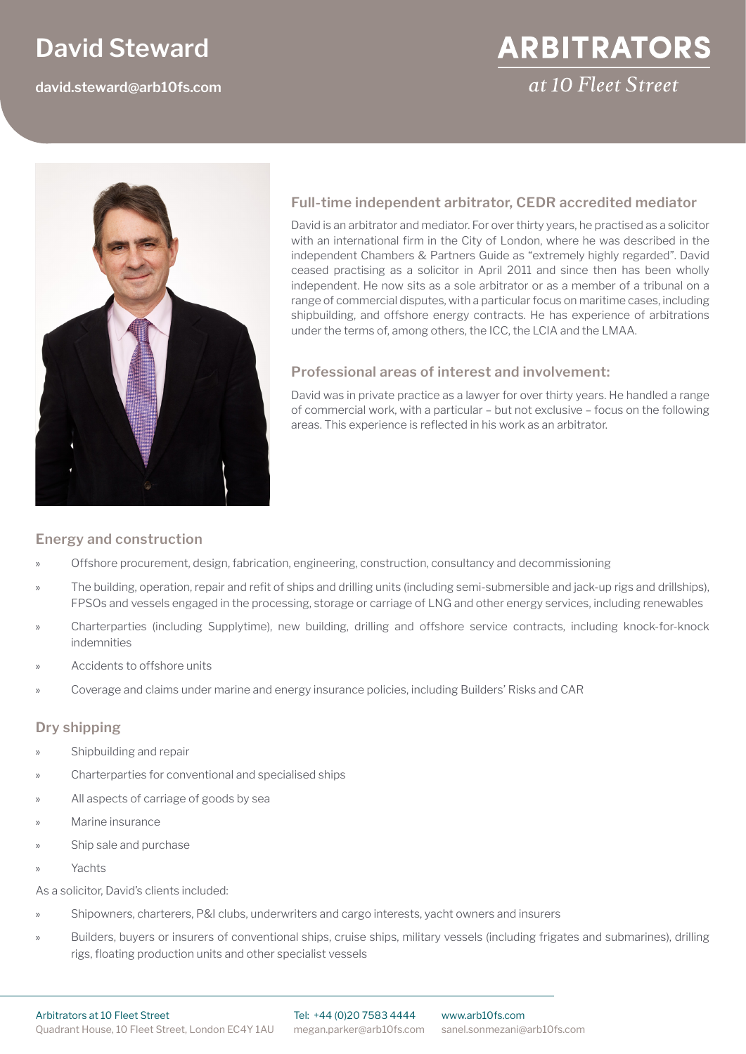# **David Steward**

**david.steward@arb10fs.com**

# **Full-time independent arbitrator, CEDR accredited mediator**

David is an arbitrator and mediator. For over thirty years, he practised as a solicitor with an international firm in the City of London, where he was described in the independent Chambers & Partners Guide as "extremely highly regarded". David ceased practising as a solicitor in April 2011 and since then has been wholly independent. He now sits as a sole arbitrator or as a member of a tribunal on a range of commercial disputes, with a particular focus on maritime cases, including shipbuilding, and offshore energy contracts. He has experience of arbitrations under the terms of, among others, the ICC, the LCIA and the LMAA.

## **Professional areas of interest and involvement:**

David was in private practice as a lawyer for over thirty years. He handled a range of commercial work, with a particular – but not exclusive – focus on the following areas. This experience is reflected in his work as an arbitrator.

#### **Energy and construction**

- » Offshore procurement, design, fabrication, engineering, construction, consultancy and decommissioning
- » The building, operation, repair and refit of ships and drilling units (including semi-submersible and jack-up rigs and drillships), FPSOs and vessels engaged in the processing, storage or carriage of LNG and other energy services, including renewables
- » Charterparties (including Supplytime), new building, drilling and offshore service contracts, including knock-for-knock indemnities
- » Accidents to offshore units
- » Coverage and claims under marine and energy insurance policies, including Builders' Risks and CAR

#### **Dry shipping**

- Shipbuilding and repair
- » Charterparties for conventional and specialised ships
- » All aspects of carriage of goods by sea
- Marine insurance
- Ship sale and purchase
- » Yachts

As a solicitor, David's clients included:

- » Shipowners, charterers, P&I clubs, underwriters and cargo interests, yacht owners and insurers
- » Builders, buyers or insurers of conventional ships, cruise ships, military vessels (including frigates and submarines), drilling rigs, floating production units and other specialist vessels



# **ARBITRATORS** at 10 Fleet Street